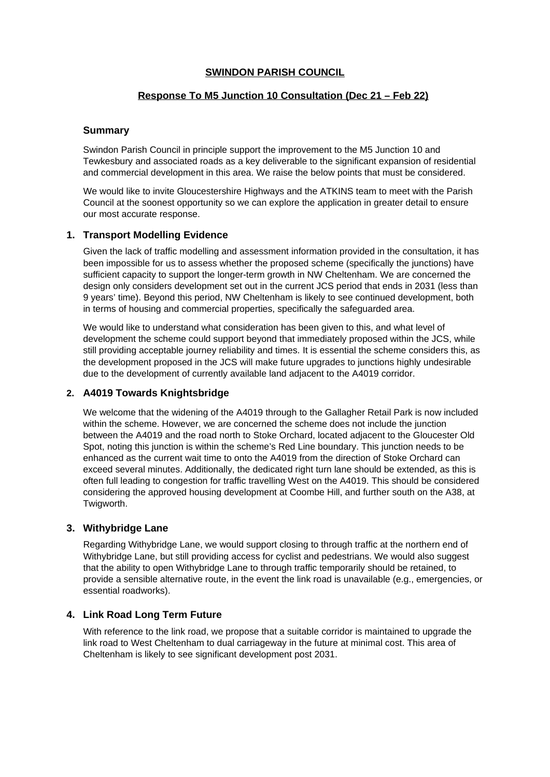## **SWINDON PARISH COUNCIL**

# **Response To M5 Junction 10 Consultation (Dec 21 – Feb 22)**

## **Summary**

Swindon Parish Council in principle support the improvement to the M5 Junction 10 and Tewkesbury and associated roads as a key deliverable to the significant expansion of residential and commercial development in this area. We raise the below points that must be considered.

We would like to invite Gloucestershire Highways and the ATKINS team to meet with the Parish Council at the soonest opportunity so we can explore the application in greater detail to ensure our most accurate response.

## **1. Transport Modelling Evidence**

Given the lack of traffic modelling and assessment information provided in the consultation, it has been impossible for us to assess whether the proposed scheme (specifically the junctions) have sufficient capacity to support the longer-term growth in NW Cheltenham. We are concerned the design only considers development set out in the current JCS period that ends in 2031 (less than 9 years' time). Beyond this period, NW Cheltenham is likely to see continued development, both in terms of housing and commercial properties, specifically the safeguarded area.

We would like to understand what consideration has been given to this, and what level of development the scheme could support beyond that immediately proposed within the JCS, while still providing acceptable journey reliability and times. It is essential the scheme considers this, as the development proposed in the JCS will make future upgrades to junctions highly undesirable due to the development of currently available land adjacent to the A4019 corridor.

## **2. A4019 Towards Knightsbridge**

We welcome that the widening of the A4019 through to the Gallagher Retail Park is now included within the scheme. However, we are concerned the scheme does not include the junction between the A4019 and the road north to Stoke Orchard, located adjacent to the Gloucester Old Spot, noting this junction is within the scheme's Red Line boundary. This junction needs to be enhanced as the current wait time to onto the A4019 from the direction of Stoke Orchard can exceed several minutes. Additionally, the dedicated right turn lane should be extended, as this is often full leading to congestion for traffic travelling West on the A4019. This should be considered considering the approved housing development at Coombe Hill, and further south on the A38, at Twigworth.

#### **3. Withybridge Lane**

Regarding Withybridge Lane, we would support closing to through traffic at the northern end of Withybridge Lane, but still providing access for cyclist and pedestrians. We would also suggest that the ability to open Withybridge Lane to through traffic temporarily should be retained, to provide a sensible alternative route, in the event the link road is unavailable (e.g., emergencies, or essential roadworks).

#### **4. Link Road Long Term Future**

With reference to the link road, we propose that a suitable corridor is maintained to upgrade the link road to West Cheltenham to dual carriageway in the future at minimal cost. This area of Cheltenham is likely to see significant development post 2031.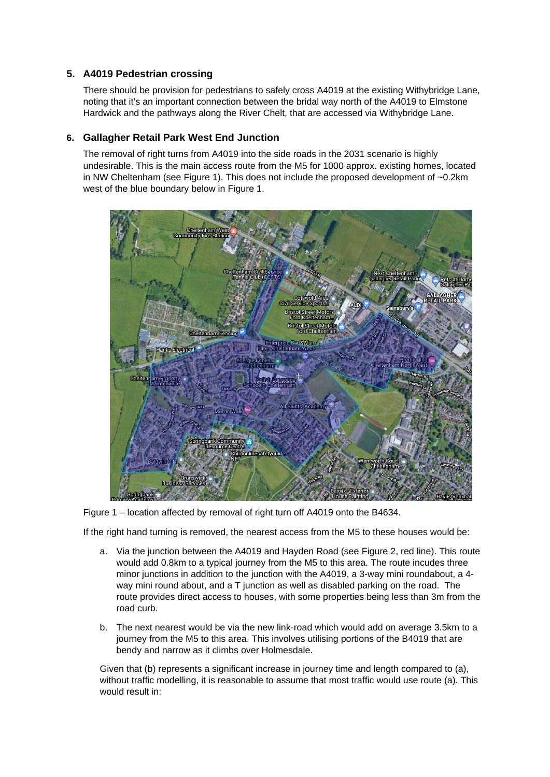# **5. A4019 Pedestrian crossing**

There should be provision for pedestrians to safely cross A4019 at the existing Withybridge Lane, noting that it's an important connection between the bridal way north of the A4019 to Elmstone Hardwick and the pathways along the River Chelt, that are accessed via Withybridge Lane.

#### **6. Gallagher Retail Park West End Junction**

The removal of right turns from A4019 into the side roads in the 2031 scenario is highly undesirable. This is the main access route from the M5 for 1000 approx. existing homes, located in NW Cheltenham (see [Figure 1\)](#page-1-0). This does not include the proposed development of ~0.2km west of the blue boundary below in [Figure 1](#page-1-0).



<span id="page-1-0"></span>Figure 1 – location affected by removal of right turn off A4019 onto the B4634.

If the right hand turning is removed, the nearest access from the M5 to these houses would be:

- a. Via the junction between the A4019 and Hayden Road (see [Figure 2](#page-2-0), red line). This route would add 0.8km to a typical journey from the M5 to this area. The route incudes three minor junctions in addition to the junction with the A4019, a 3-way mini roundabout, a 4 way mini round about, and a T junction as well as disabled parking on the road. The route provides direct access to houses, with some properties being less than 3m from the road curb.
- b. The next nearest would be via the new link-road which would add on average 3.5km to a journey from the M5 to this area. This involves utilising portions of the B4019 that are bendy and narrow as it climbs over Holmesdale.

Given that (b) represents a significant increase in journey time and length compared to (a), without traffic modelling, it is reasonable to assume that most traffic would use route (a). This would result in: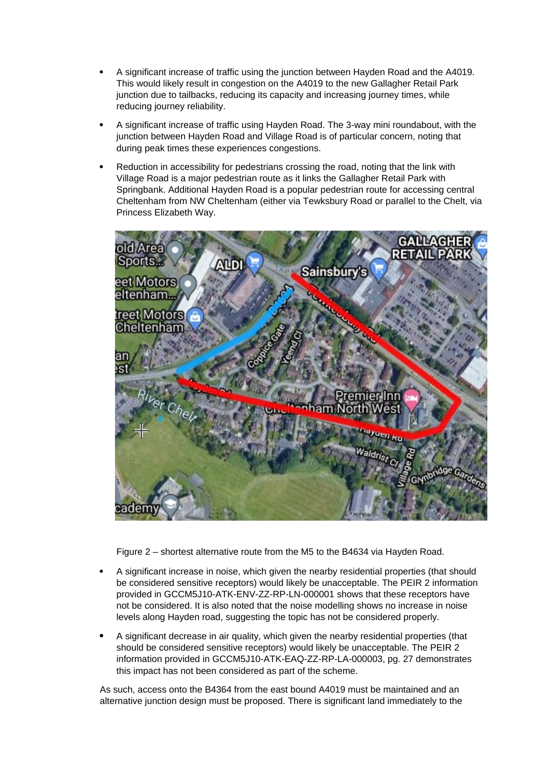- A significant increase of traffic using the junction between Hayden Road and the A4019. This would likely result in congestion on the A4019 to the new Gallagher Retail Park junction due to tailbacks, reducing its capacity and increasing journey times, while reducing journey reliability.
- A significant increase of traffic using Hayden Road. The 3-way mini roundabout, with the junction between Hayden Road and Village Road is of particular concern, noting that during peak times these experiences congestions.
- Reduction in accessibility for pedestrians crossing the road, noting that the link with Village Road is a major pedestrian route as it links the Gallagher Retail Park with Springbank. Additional Hayden Road is a popular pedestrian route for accessing central Cheltenham from NW Cheltenham (either via Tewksbury Road or parallel to the Chelt, via Princess Elizabeth Way.



<span id="page-2-0"></span>Figure 2 – shortest alternative route from the M5 to the B4634 via Hayden Road.

- A significant increase in noise, which given the nearby residential properties (that should be considered sensitive receptors) would likely be unacceptable. The PEIR 2 information provided in GCCM5J10-ATK-ENV-ZZ-RP-LN-000001 shows that these receptors have not be considered. It is also noted that the noise modelling shows no increase in noise levels along Hayden road, suggesting the topic has not be considered properly.
- A significant decrease in air quality, which given the nearby residential properties (that should be considered sensitive receptors) would likely be unacceptable. The PEIR 2 information provided in GCCM5J10-ATK-EAQ-ZZ-RP-LA-000003, pg. 27 demonstrates this impact has not been considered as part of the scheme.

As such, access onto the B4364 from the east bound A4019 must be maintained and an alternative junction design must be proposed. There is significant land immediately to the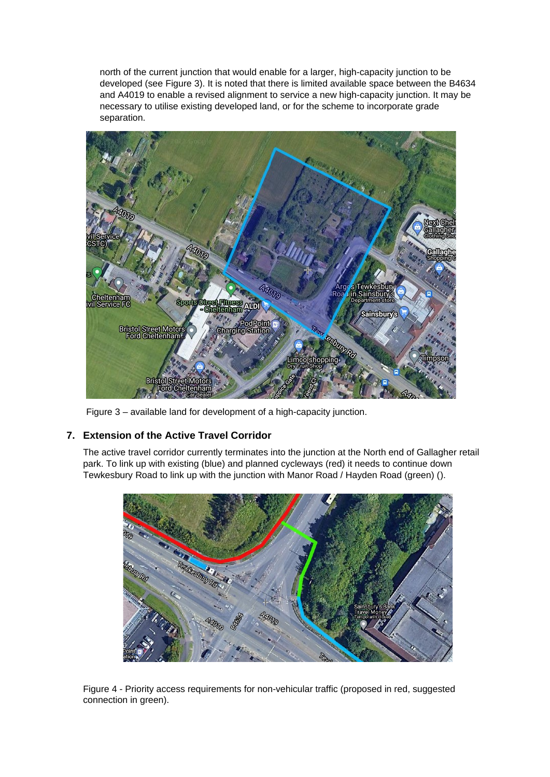north of the current junction that would enable for a larger, high-capacity junction to be developed (see [Figure 3](#page-3-0)). It is noted that there is limited available space between the B4634 and A4019 to enable a revised alignment to service a new high-capacity junction. It may be necessary to utilise existing developed land, or for the scheme to incorporate grade separation.



Figure 3 – available land for development of a high-capacity junction.

# <span id="page-3-0"></span>**7. Extension of the Active Travel Corridor**

The active travel corridor currently terminates into the junction at the North end of Gallagher retail park. To link up with existing (blue) and planned cycleways (red) it needs to continue down Tewkesbury Road to link up with the junction with Manor Road / Hayden Road (green) ().



Figure 4 - Priority access requirements for non-vehicular traffic (proposed in red, suggested connection in green).